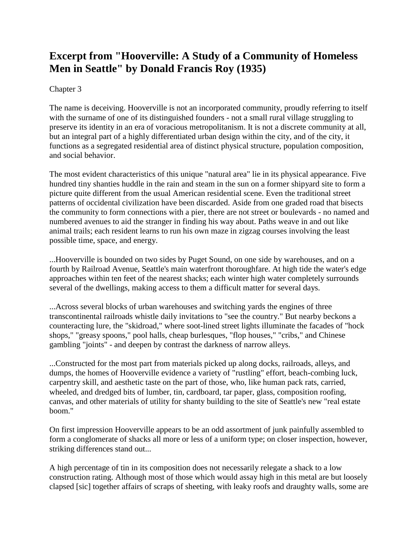## **Excerpt from "Hooverville: A Study of a Community of Homeless Men in Seattle" by Donald Francis Roy (1935)**

## Chapter 3

The name is deceiving. Hooverville is not an incorporated community, proudly referring to itself with the surname of one of its distinguished founders - not a small rural village struggling to preserve its identity in an era of voracious metropolitanism. It is not a discrete community at all, but an integral part of a highly differentiated urban design within the city, and of the city, it functions as a segregated residential area of distinct physical structure, population composition, and social behavior.

The most evident characteristics of this unique "natural area" lie in its physical appearance. Five hundred tiny shanties huddle in the rain and steam in the sun on a former shipyard site to form a picture quite different from the usual American residential scene. Even the traditional street patterns of occidental civilization have been discarded. Aside from one graded road that bisects the community to form connections with a pier, there are not street or boulevards - no named and numbered avenues to aid the stranger in finding his way about. Paths weave in and out like animal trails; each resident learns to run his own maze in zigzag courses involving the least possible time, space, and energy.

...Hooverville is bounded on two sides by Puget Sound, on one side by warehouses, and on a fourth by Railroad Avenue, Seattle's main waterfront thoroughfare. At high tide the water's edge approaches within ten feet of the nearest shacks; each winter high water completely surrounds several of the dwellings, making access to them a difficult matter for several days.

...Across several blocks of urban warehouses and switching yards the engines of three transcontinental railroads whistle daily invitations to "see the country." But nearby beckons a counteracting lure, the "skidroad," where soot-lined street lights illuminate the facades of "hock shops," "greasy spoons," pool halls, cheap burlesques, "flop houses," "cribs," and Chinese gambling "joints" - and deepen by contrast the darkness of narrow alleys.

...Constructed for the most part from materials picked up along docks, railroads, alleys, and dumps, the homes of Hooverville evidence a variety of "rustling" effort, beach-combing luck, carpentry skill, and aesthetic taste on the part of those, who, like human pack rats, carried, wheeled, and dredged bits of lumber, tin, cardboard, tar paper, glass, composition roofing, canvas, and other materials of utility for shanty building to the site of Seattle's new "real estate boom."

On first impression Hooverville appears to be an odd assortment of junk painfully assembled to form a conglomerate of shacks all more or less of a uniform type; on closer inspection, however, striking differences stand out...

A high percentage of tin in its composition does not necessarily relegate a shack to a low construction rating. Although most of those which would assay high in this metal are but loosely clapsed [sic] together affairs of scraps of sheeting, with leaky roofs and draughty walls, some are